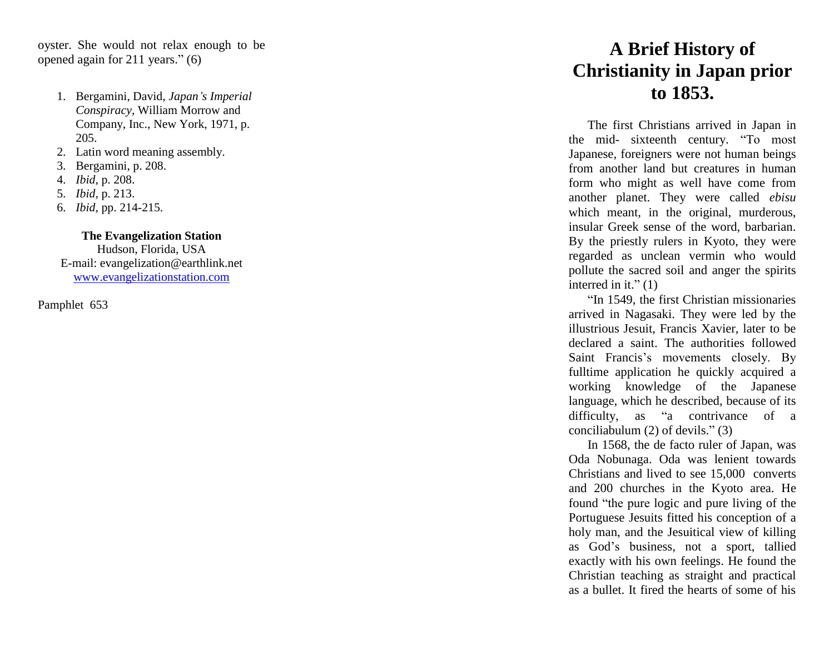oyster. She would not relax enough to be opened again for 211 years. " (6)

- 1. Bergamini, David, *Japan 's Imperial Conspi racy*, William Morrow and Company, Inc., New York, 1971, p. 205.
- 2. Latin word meaning assembly .
- 3. Bergamini, p. 208.
- 4. *Ibid*, p. 208.
- 5. *Ibid,* p. 213.
- 6. *Ibid,* pp. 214 215 .

## **The Evangelization Station**

Hudson, Florida, USA E -mail: evangelization@earthlink.net [www.evangelizationstation.com](http://www.pjpiisoe.org/)

Pamphlet 653

## **A Brief History of Christianity in Japan prior to 1853.**

The first Christian s arrived in Japan in the mid - sixteenth century. "To most Japanese, foreigners were not human beings from another land but creatures in human form who might as well have come from another planet. They were called *ebisu* which meant, in the original, murderous, insular Greek sense of the word, barbarian. By the priestly r ulers in Kyoto, they were regar d ed as unclean vermin who would pol lute the sacred soil and anger the spirits interred in it." $(1)$ 

" In 1549, the first Christian missionaries arrived in Nagasaki. They were led by the illustrious Jesuit, Francis Xavier, later to be declared a saint. The authorities followed Saint Francis's movements closely. By fulltime application he quickly acquired a working knowledge of the Japanese language, which he described, because of its difficulty, as " a contrivance of a conciliabulum (2) of devils." (3)

In 1568, the de facto ruler of Japan , was Oda Nobunaga. Oda was lenient towards Christians and lived to see 15,000 converts and 200 churches in the Kyoto area. He found "the pure logic and pure living of the Portuguese Jesuits fitted his conception of a holy man, and the Jesuitical view of killing as God's business, not a sport, tallied exactly with his own feelings. He found the Christian teaching as straight and practical as a bullet. It fired the hearts of some of his